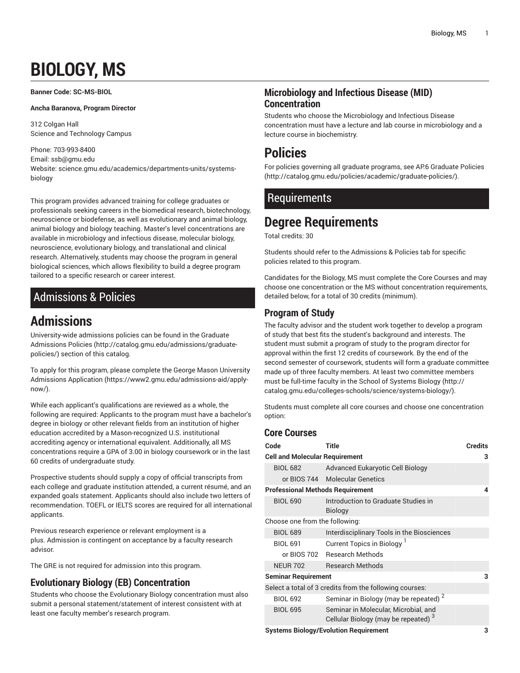# **BIOLOGY, MS**

<span id="page-0-1"></span>**Banner Code: SC-MS-BIOL**

**Ancha Baranova, Program Director**

312 Colgan Hall Science and Technology Campus

Phone: 703-993-8400 Email: [ssb@gmu.edu](mailto:ssb@gmu.edu) Website: science.gmu.edu/academics/departments-units/systemsbiology

This program provides advanced training for college graduates or professionals seeking careers in the biomedical research, biotechnology, neuroscience or biodefense, as well as evolutionary and animal biology, animal biology and biology teaching. Master's level concentrations are available in microbiology and infectious disease, molecular biology, neuroscience, evolutionary biology, and translational and clinical research. Alternatively, students may choose the program in general biological sciences, which allows flexibility to build a degree program tailored to a specific research or career interest.

# <span id="page-0-0"></span>Admissions & Policies

# **Admissions**

University-wide admissions policies can be found in the [Graduate](http://catalog.gmu.edu/admissions/graduate-policies/) [Admissions](http://catalog.gmu.edu/admissions/graduate-policies/) Policies [\(http://catalog.gmu.edu/admissions/graduate](http://catalog.gmu.edu/admissions/graduate-policies/)[policies/](http://catalog.gmu.edu/admissions/graduate-policies/)) section of this catalog.

To apply for this program, please complete the George Mason [University](https://www2.gmu.edu/admissions-aid/apply-now/) [Admissions Application](https://www2.gmu.edu/admissions-aid/apply-now/) ([https://www2.gmu.edu/admissions-aid/apply](https://www2.gmu.edu/admissions-aid/apply-now/)[now/](https://www2.gmu.edu/admissions-aid/apply-now/)).

While each applicant's qualifications are reviewed as a whole, the following are required: Applicants to the program must have a bachelor's degree in biology or other relevant fields from an institution of higher education accredited by a Mason-recognized U.S. institutional accrediting agency or international equivalent. Additionally, all MS concentrations require a GPA of 3.00 in biology coursework or in the last 60 credits of undergraduate study.

Prospective students should supply a copy of official transcripts from each college and graduate institution attended, a current résumé, and an expanded goals statement. Applicants should also include two letters of recommendation. TOEFL or IELTS scores are required for all international applicants.

Previous research experience or relevant employment is a plus. Admission is contingent on acceptance by a faculty research advisor.

The GRE is not required for admission into this program.

# **Evolutionary Biology (EB) Concentration**

Students who choose the Evolutionary Biology concentration must also submit a personal statement/statement of interest consistent with at least one faculty member's research program.

# **Microbiology and Infectious Disease (MID) Concentration**

Students who choose the Microbiology and Infectious Disease concentration must have a lecture and lab course in microbiology and a lecture course in biochemistry.

# **Policies**

For policies governing all graduate programs, see AP.6 [Graduate](http://catalog.gmu.edu/policies/academic/graduate-policies/) Policies [\(http://catalog.gmu.edu/policies/academic/graduate-policies/\)](http://catalog.gmu.edu/policies/academic/graduate-policies/).

# Requirements

# **Degree Requirements**

Total credits: 30

Students should refer to the [Admissions](#page-0-0) & Policies tab for specific policies related to this program.

Candidates for the Biology, MS must complete the Core Courses and may choose one concentration or the MS without concentration requirements, detailed below, for a total of 30 credits (minimum).

# **Program of Study**

The faculty advisor and the student work together to develop a program of study that best fits the student's background and interests. The student must submit a program of study to the program director for approval within the first 12 credits of coursework. By the end of the second semester of coursework, students will form a graduate committee made up of three faculty members. At least two committee members must be full-time faculty in the [School of Systems Biology](http://catalog.gmu.edu/colleges-schools/science/systems-biology/) ([http://](http://catalog.gmu.edu/colleges-schools/science/systems-biology/) [catalog.gmu.edu/colleges-schools/science/systems-biology/](http://catalog.gmu.edu/colleges-schools/science/systems-biology/)).

Students must complete all core courses and choose one concentration option:

## **Core Courses**

| Code                                    | Title                                                                        | Credits |
|-----------------------------------------|------------------------------------------------------------------------------|---------|
| <b>Cell and Molecular Requirement</b>   |                                                                              | 3       |
| <b>BIOL 682</b>                         | Advanced Eukaryotic Cell Biology                                             |         |
|                                         | or BIOS 744 Molecular Genetics                                               |         |
| <b>Professional Methods Requirement</b> |                                                                              | Δ       |
| <b>BIOL 690</b>                         | Introduction to Graduate Studies in<br><b>Biology</b>                        |         |
| Choose one from the following:          |                                                                              |         |
| <b>BIOL 689</b>                         | Interdisciplinary Tools in the Biosciences                                   |         |
| <b>BIOL 691</b>                         | Current Topics in Biology <sup>1</sup>                                       |         |
|                                         | or BIOS 702 Research Methods                                                 |         |
| <b>NEUR 702</b>                         | <b>Research Methods</b>                                                      |         |
| <b>Seminar Requirement</b>              |                                                                              | 3       |
|                                         | Select a total of 3 credits from the following courses:                      |         |
| <b>BIOL 692</b>                         | Seminar in Biology (may be repeated) <sup>2</sup>                            |         |
| <b>BIOL 695</b>                         | Seminar in Molecular, Microbial, and<br>Cellular Biology (may be repeated) 3 |         |

**Systems Biology/Evolution Requirement 3**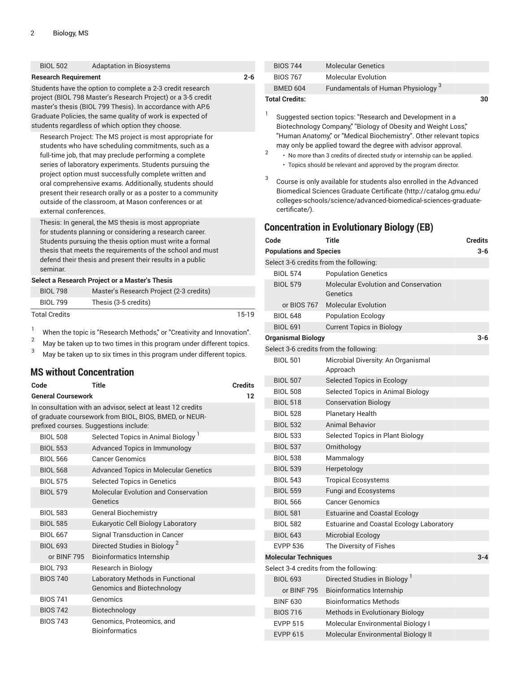| <b>BIOL 502</b>             | <b>Adaptation in Biosystems</b>                                                                                                                                                                                                                                                                                                                                                                                                                                                                                                                                                                                                                                                                                                 |         | <b>BIOS 744</b>                                        | <b>Molecular Genetics</b>                                                                                                                                                                                                                                                                                                                                                                                                                                                                                    |
|-----------------------------|---------------------------------------------------------------------------------------------------------------------------------------------------------------------------------------------------------------------------------------------------------------------------------------------------------------------------------------------------------------------------------------------------------------------------------------------------------------------------------------------------------------------------------------------------------------------------------------------------------------------------------------------------------------------------------------------------------------------------------|---------|--------------------------------------------------------|--------------------------------------------------------------------------------------------------------------------------------------------------------------------------------------------------------------------------------------------------------------------------------------------------------------------------------------------------------------------------------------------------------------------------------------------------------------------------------------------------------------|
| <b>Research Requirement</b> |                                                                                                                                                                                                                                                                                                                                                                                                                                                                                                                                                                                                                                                                                                                                 | $2 - 6$ | <b>BIOS 767</b>                                        | <b>Molecular Evolution</b>                                                                                                                                                                                                                                                                                                                                                                                                                                                                                   |
|                             | Students have the option to complete a 2-3 credit research                                                                                                                                                                                                                                                                                                                                                                                                                                                                                                                                                                                                                                                                      |         | <b>BMED 604</b>                                        | <b>Fundamentals of Human Physiolog</b>                                                                                                                                                                                                                                                                                                                                                                                                                                                                       |
| external conferences.       | project (BIOL 798 Master's Research Project) or a 3-5 credit<br>master's thesis (BIOL 799 Thesis). In accordance with AP.6<br>Graduate Policies, the same quality of work is expected of<br>students regardless of which option they choose.<br>Research Project: The MS project is most appropriate for<br>students who have scheduling commitments, such as a<br>full-time job, that may preclude performing a complete<br>series of laboratory experiments. Students pursuing the<br>project option must successfully complete written and<br>oral comprehensive exams. Additionally, students should<br>present their research orally or as a poster to a community<br>outside of the classroom, at Mason conferences or at |         | <b>Total Credits:</b><br>1<br>2<br>3<br>certificate/). | Suggested section topics: "Research and Developm<br>Biotechnology Company," "Biology of Obesity and W<br>"Human Anatomy," or "Medical Biochemistry". Other<br>may only be applied toward the degree with advisor<br>· No more than 3 credits of directed study or internship<br>• Topics should be relevant and approved by the prograr<br>Course is only available for students also enrolled in<br>Biomedical Sciences Graduate Certificate (http://ca<br>colleges-schools/science/advanced-biomedical-sci |
|                             | Thesis: In general, the MS thesis is most appropriate<br>for students planning or considering a research career.                                                                                                                                                                                                                                                                                                                                                                                                                                                                                                                                                                                                                |         |                                                        | <b>Concentration in Evolutionary Biology (EB)</b>                                                                                                                                                                                                                                                                                                                                                                                                                                                            |
|                             | Students pursuing the thesis option must write a formal                                                                                                                                                                                                                                                                                                                                                                                                                                                                                                                                                                                                                                                                         |         | Code                                                   | <b>Title</b>                                                                                                                                                                                                                                                                                                                                                                                                                                                                                                 |
|                             | thesis that meets the requirements of the school and must                                                                                                                                                                                                                                                                                                                                                                                                                                                                                                                                                                                                                                                                       |         | <b>Populations and Species</b>                         |                                                                                                                                                                                                                                                                                                                                                                                                                                                                                                              |
|                             | defend their thesis and present their results in a public                                                                                                                                                                                                                                                                                                                                                                                                                                                                                                                                                                                                                                                                       |         |                                                        | Select 3-6 credits from the following:                                                                                                                                                                                                                                                                                                                                                                                                                                                                       |
| seminar.                    |                                                                                                                                                                                                                                                                                                                                                                                                                                                                                                                                                                                                                                                                                                                                 |         | <b>BIOL 574</b>                                        | <b>Population Genetics</b>                                                                                                                                                                                                                                                                                                                                                                                                                                                                                   |
|                             | Select a Research Project or a Master's Thesis                                                                                                                                                                                                                                                                                                                                                                                                                                                                                                                                                                                                                                                                                  |         | <b>BIOL 579</b>                                        | <b>Molecular Evolution and Conservati</b>                                                                                                                                                                                                                                                                                                                                                                                                                                                                    |
| <b>BIOL 798</b>             | Master's Research Project (2-3 credits)                                                                                                                                                                                                                                                                                                                                                                                                                                                                                                                                                                                                                                                                                         |         |                                                        | Genetics                                                                                                                                                                                                                                                                                                                                                                                                                                                                                                     |
| <b>BIOL 799</b>             | Thesis (3-5 credits)                                                                                                                                                                                                                                                                                                                                                                                                                                                                                                                                                                                                                                                                                                            |         | or BIOS 767                                            | <b>Molecular Evolution</b>                                                                                                                                                                                                                                                                                                                                                                                                                                                                                   |
| <b>Total Credits</b>        |                                                                                                                                                                                                                                                                                                                                                                                                                                                                                                                                                                                                                                                                                                                                 | $15-19$ | <b>BIOL 648</b>                                        | <b>Population Ecology</b>                                                                                                                                                                                                                                                                                                                                                                                                                                                                                    |

<sup>1</sup> When the topic is "Research Methods," or "Creativity and Innovation".<br><sup>2</sup> May be taken up to two times in this program under different topics.

<sup>2</sup> May be taken up to two times in this program under different topics.<br><sup>3</sup> May be taken up to six times in this program under different topics.

May be taken up to six times in this program under different topics.

## **MS without Concentration**

| Code            | <b>Credits</b>                                                                                                                                                  |  |  |  |  |  |
|-----------------|-----------------------------------------------------------------------------------------------------------------------------------------------------------------|--|--|--|--|--|
|                 | <b>General Coursework</b><br>12                                                                                                                                 |  |  |  |  |  |
|                 | In consultation with an advisor, select at least 12 credits<br>of graduate coursework from BIOL, BIOS, BMED, or NEUR-<br>prefixed courses. Suggestions include: |  |  |  |  |  |
| <b>BIOL 508</b> | Selected Topics in Animal Biology <sup>1</sup>                                                                                                                  |  |  |  |  |  |
| <b>BIOL 553</b> | <b>Advanced Topics in Immunology</b>                                                                                                                            |  |  |  |  |  |
| <b>BIOL 566</b> | <b>Cancer Genomics</b>                                                                                                                                          |  |  |  |  |  |
| <b>BIOL 568</b> | <b>Advanced Topics in Molecular Genetics</b>                                                                                                                    |  |  |  |  |  |
| <b>BIOL 575</b> | <b>Selected Topics in Genetics</b>                                                                                                                              |  |  |  |  |  |
| <b>BIOL 579</b> | Molecular Evolution and Conservation<br>Genetics                                                                                                                |  |  |  |  |  |
| <b>BIOL 583</b> | <b>General Biochemistry</b>                                                                                                                                     |  |  |  |  |  |
| <b>BIOL 585</b> | Eukaryotic Cell Biology Laboratory                                                                                                                              |  |  |  |  |  |
| <b>BIOL 667</b> | Signal Transduction in Cancer                                                                                                                                   |  |  |  |  |  |
| <b>BIOL 693</b> | Directed Studies in Biology <sup>2</sup>                                                                                                                        |  |  |  |  |  |
| or BINF 795     | <b>Bioinformatics Internship</b>                                                                                                                                |  |  |  |  |  |
| <b>BIOL 793</b> | Research in Biology                                                                                                                                             |  |  |  |  |  |
| <b>BIOS 740</b> | Laboratory Methods in Functional<br><b>Genomics and Biotechnology</b>                                                                                           |  |  |  |  |  |
| <b>BIOS 741</b> | Genomics                                                                                                                                                        |  |  |  |  |  |
| <b>BIOS 742</b> | Biotechnology                                                                                                                                                   |  |  |  |  |  |
| <b>BIOS 743</b> | Genomics, Proteomics, and<br><b>Bioinformatics</b>                                                                                                              |  |  |  |  |  |

| <b>Total Credits:</b> |                                               | 30 |
|-----------------------|-----------------------------------------------|----|
| BMED 604              | Fundamentals of Human Physiology <sup>3</sup> |    |
| <b>BIOS 767</b>       | Molecular Evolution                           |    |
| BIOS 744              | Molecular Genetics                            |    |

opment in a d Weight Loss," ther relevant topics  $\dot{\mathsf{a}}$  isor approval.

ship can be applied. ogram director.

ed in the [Advanced](http://catalog.gmu.edu/colleges-schools/science/advanced-biomedical-sciences-graduate-certificate/) ://catalog.gmu.edu/ l-sciences-graduate-

| Code                                   | Title                                            | <b>Credits</b> |  |  |  |
|----------------------------------------|--------------------------------------------------|----------------|--|--|--|
| <b>Populations and Species</b>         |                                                  | $3 - 6$        |  |  |  |
| Select 3-6 credits from the following: |                                                  |                |  |  |  |
| <b>BIOL 574</b>                        | <b>Population Genetics</b>                       |                |  |  |  |
| <b>BIOL 579</b>                        | Molecular Evolution and Conservation<br>Genetics |                |  |  |  |
| or BIOS 767                            | <b>Molecular Evolution</b>                       |                |  |  |  |
| <b>BIOL 648</b>                        | <b>Population Ecology</b>                        |                |  |  |  |
| <b>BIOL 691</b>                        | <b>Current Topics in Biology</b>                 |                |  |  |  |
| <b>Organismal Biology</b>              |                                                  | $3 - 6$        |  |  |  |
| Select 3-6 credits from the following: |                                                  |                |  |  |  |
| <b>BIOL 501</b>                        | Microbial Diversity: An Organismal<br>Approach   |                |  |  |  |
| <b>BIOL 507</b>                        | Selected Topics in Ecology                       |                |  |  |  |
| <b>BIOL 508</b>                        | Selected Topics in Animal Biology                |                |  |  |  |
| <b>BIOL 518</b>                        | <b>Conservation Biology</b>                      |                |  |  |  |
| <b>BIOL 528</b>                        | <b>Planetary Health</b>                          |                |  |  |  |
| <b>BIOL 532</b>                        | <b>Animal Behavior</b>                           |                |  |  |  |
| <b>BIOL 533</b>                        | Selected Topics in Plant Biology                 |                |  |  |  |
| <b>BIOL 537</b>                        | Ornithology                                      |                |  |  |  |
| <b>BIOL 538</b>                        | Mammalogy                                        |                |  |  |  |
| <b>BIOL 539</b>                        | Herpetology                                      |                |  |  |  |
| <b>BIOL 543</b>                        | <b>Tropical Ecosystems</b>                       |                |  |  |  |
| <b>BIOL 559</b>                        | Fungi and Ecosystems                             |                |  |  |  |
| <b>BIOL 566</b>                        | <b>Cancer Genomics</b>                           |                |  |  |  |
| <b>BIOL 581</b>                        | <b>Estuarine and Coastal Ecology</b>             |                |  |  |  |
| <b>BIOL 582</b>                        | Estuarine and Coastal Ecology Laboratory         |                |  |  |  |
| <b>BIOL 643</b>                        | Microbial Ecology                                |                |  |  |  |
| <b>EVPP 536</b>                        | The Diversity of Fishes                          |                |  |  |  |
| <b>Molecular Techniques</b>            |                                                  | $3 - 4$        |  |  |  |
| Select 3-4 credits from the following: |                                                  |                |  |  |  |
| <b>BIOL 693</b>                        | Directed Studies in Biology                      |                |  |  |  |
| or BINF 795                            | <b>Bioinformatics Internship</b>                 |                |  |  |  |
| <b>BINF 630</b>                        | <b>Bioinformatics Methods</b>                    |                |  |  |  |
| <b>BIOS 716</b>                        | Methods in Evolutionary Biology                  |                |  |  |  |
| <b>EVPP 515</b>                        | Molecular Environmental Biology I                |                |  |  |  |
| <b>EVPP 615</b>                        | Molecular Environmental Biology II               |                |  |  |  |
|                                        |                                                  |                |  |  |  |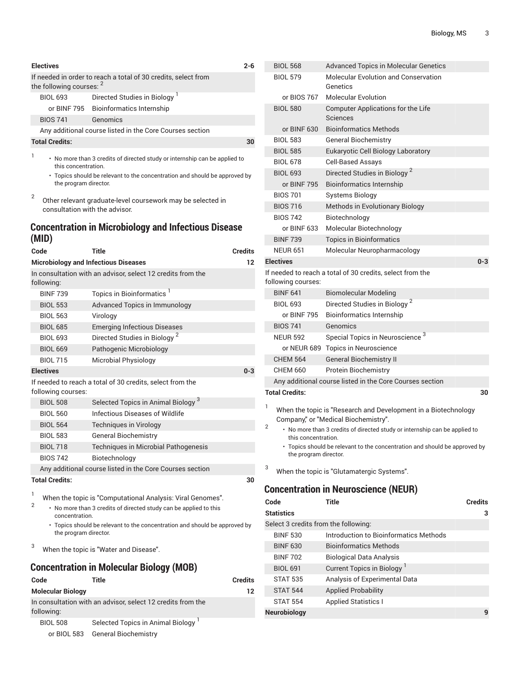| <b>Electives</b>                                                                           | $2 - 6$                                                                                                                    |  |  |
|--------------------------------------------------------------------------------------------|----------------------------------------------------------------------------------------------------------------------------|--|--|
| If needed in order to reach a total of 30 credits, select from<br>the following courses: 2 |                                                                                                                            |  |  |
| <b>BIOL 693</b>                                                                            | Directed Studies in Biology <sup>1</sup>                                                                                   |  |  |
|                                                                                            | or BINF 795 Bioinformatics Internship                                                                                      |  |  |
| <b>BIOS 741</b>                                                                            | Genomics                                                                                                                   |  |  |
|                                                                                            | Any additional course listed in the Core Courses section                                                                   |  |  |
| <b>Total Credits:</b>                                                                      | 30                                                                                                                         |  |  |
| 1                                                                                          | • No more than 3 credits of directed study or internship can be applied to<br>this concentration.                          |  |  |
|                                                                                            | • Topics should be relevant to the concentration and should be approved by<br>the program director.                        |  |  |
| 2                                                                                          | Other relevant graduate-level coursework may be selected in<br>consultation with the advisor.                              |  |  |
| (MID)                                                                                      | <b>Concentration in Microbiology and Infectious Disease</b>                                                                |  |  |
| Code                                                                                       | <b>Credits</b><br>Title                                                                                                    |  |  |
|                                                                                            | <b>Microbiology and Infectious Diseases</b><br>12                                                                          |  |  |
| following:                                                                                 | In consultation with an advisor, select 12 credits from the                                                                |  |  |
| <b>BINF 739</b>                                                                            | Topics in Bioinformatics <sup>1</sup>                                                                                      |  |  |
| <b>BIOL 553</b>                                                                            | <b>Advanced Topics in Immunology</b>                                                                                       |  |  |
| <b>BIOL 563</b>                                                                            | Virology                                                                                                                   |  |  |
| <b>BIOL 685</b>                                                                            | <b>Emerging Infectious Diseases</b>                                                                                        |  |  |
| <b>BIOL 693</b>                                                                            | Directed Studies in Biology <sup>2</sup>                                                                                   |  |  |
| <b>BIOL 669</b>                                                                            | Pathogenic Microbiology                                                                                                    |  |  |
| <b>BIOL 715</b>                                                                            | Microbial Physiology                                                                                                       |  |  |
| <b>Electives</b>                                                                           | $0 - 3$                                                                                                                    |  |  |
| following courses:                                                                         | If needed to reach a total of 30 credits, select from the                                                                  |  |  |
| <b>BIOL 508</b>                                                                            | Selected Topics in Animal Biology <sup>3</sup>                                                                             |  |  |
| <b>BIOL 560</b>                                                                            | Infectious Diseases of Wildlife                                                                                            |  |  |
| <b>BIOL 564</b>                                                                            | Techniques in Virology                                                                                                     |  |  |
| <b>BIOL 583</b>                                                                            | <b>General Biochemistry</b>                                                                                                |  |  |
| <b>BIOL 718</b>                                                                            | Techniques in Microbial Pathogenesis                                                                                       |  |  |
| <b>BIOS 742</b>                                                                            | Biotechnology                                                                                                              |  |  |
|                                                                                            | Any additional course listed in the Core Courses section                                                                   |  |  |
| <b>Total Credits:</b>                                                                      | 30                                                                                                                         |  |  |
| 1                                                                                          |                                                                                                                            |  |  |
| 2                                                                                          | When the topic is "Computational Analysis: Viral Genomes".<br>more than 2 aradita of directed atudy can be applied to this |  |  |

• No more than 3 credits of directed study can be applied to this concentration.

• Topics should be relevant to the concentration and should be approved by the program director.

<sup>3</sup> When the topic is "Water and Disease".

# **Concentration in Molecular Biology (MOB)**

| Code                     | Title                                                       | <b>Credits</b> |
|--------------------------|-------------------------------------------------------------|----------------|
| <b>Molecular Biology</b> |                                                             | 12             |
| following:               | In consultation with an advisor, select 12 credits from the |                |
| <b>BIOL 508</b>          | Selected Topics in Animal Biology <sup>1</sup>              |                |
|                          | or BIOL 583 General Biochemistry                            |                |

|   | <b>BIOL 568</b>                      | <b>Advanced Topics in Molecular Genetics</b>                                                           |
|---|--------------------------------------|--------------------------------------------------------------------------------------------------------|
|   | <b>BIOL 579</b>                      | <b>Molecular Evolution and Conservation</b><br>Genetics                                                |
|   | or BIOS 767                          | <b>Molecular Evolution</b>                                                                             |
|   | <b>BIOL 580</b>                      | <b>Computer Applications for the Life</b><br><b>Sciences</b>                                           |
|   | or BINF 630                          | <b>Bioinformatics Methods</b>                                                                          |
|   | <b>BIOL 583</b>                      | <b>General Biochemistry</b>                                                                            |
|   | <b>BIOL 585</b>                      | Eukaryotic Cell Biology Laboratory                                                                     |
|   | <b>BIOL 678</b>                      | <b>Cell-Based Assays</b>                                                                               |
|   | <b>BIOL 693</b>                      | Directed Studies in Biology <sup>2</sup>                                                               |
|   | or BINF 795                          | <b>Bioinformatics Internship</b>                                                                       |
|   | <b>BIOS 701</b>                      | <b>Systems Biology</b>                                                                                 |
|   | <b>BIOS 716</b>                      | Methods in Evolutionary Biology                                                                        |
|   | <b>BIOS 742</b>                      | Biotechnology                                                                                          |
|   | or BINF 633                          | Molecular Biotechnology                                                                                |
|   | <b>BINF 739</b>                      | <b>Topics in Bioinformatics</b>                                                                        |
|   | <b>NEUR 651</b>                      | Molecular Neuropharmacology                                                                            |
|   | <b>Electives</b>                     | $0 - 3$                                                                                                |
|   | following courses:                   | If needed to reach a total of 30 credits, select from the                                              |
|   | <b>BINF 641</b>                      | <b>Biomolecular Modeling</b>                                                                           |
|   | <b>BIOL 693</b>                      | Directed Studies in Biology <sup>2</sup>                                                               |
|   | or BINF 795                          | <b>Bioinformatics Internship</b>                                                                       |
|   | <b>BIOS 741</b>                      | Genomics                                                                                               |
|   | <b>NEUR 592</b>                      | Special Topics in Neuroscience <sup>3</sup>                                                            |
|   |                                      | or NEUR 689 Topics in Neuroscience                                                                     |
|   | <b>CHEM 564</b>                      | <b>General Biochemistry II</b>                                                                         |
|   | <b>CHEM 660</b>                      | <b>Protein Biochemistry</b>                                                                            |
|   |                                      | Any additional course listed in the Core Courses section                                               |
|   | <b>Total Credits:</b>                | 30                                                                                                     |
| 1 |                                      | When the topic is "Research and Development in a Biotechnology<br>Company," or "Medical Biochemistry". |
| 2 | this concentration.                  | • No more than 3 credits of directed study or internship can be applied to                             |
|   | the program director.                | • Topics should be relevant to the concentration and should be approved by                             |
| 3 |                                      | When the topic is "Glutamatergic Systems".                                                             |
|   |                                      | <b>Concentration in Neuroscience (NEUR)</b>                                                            |
|   | Code                                 | Title<br><b>Credits</b>                                                                                |
|   | <b>Statistics</b>                    | 3                                                                                                      |
|   | Select 3 credits from the following: |                                                                                                        |
|   | <b>BINF 530</b>                      | Introduction to Bioinformatics Methods                                                                 |
|   | <b>BINF 630</b>                      | <b>Bioinformatics Methods</b>                                                                          |
|   | <b>BINF 702</b>                      | <b>Biological Data Analysis</b>                                                                        |
|   | <b>BIOL 691</b>                      | Current Topics in Biology <sup>1</sup>                                                                 |
|   | <b>STAT 535</b>                      | Analysis of Experimental Data                                                                          |
|   | <b>STAT 544</b>                      | <b>Applied Probability</b>                                                                             |
|   | <b>STAT 554</b>                      | <b>Applied Statistics I</b>                                                                            |
|   | <b>Neurobiology</b>                  | 9                                                                                                      |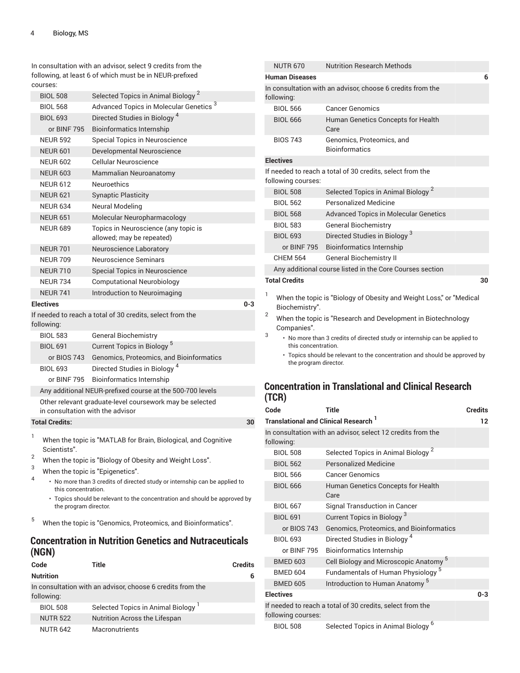In consultation with an advisor, select 9 credits from the following, at least 6 of which must be in NEUR-prefixed courses:

|   | <b>BIOL 508</b>                  | Selected Topics in Animal Biology <sup>2</sup>                             |         |
|---|----------------------------------|----------------------------------------------------------------------------|---------|
|   | <b>BIOL 568</b>                  | Advanced Topics in Molecular Genetics <sup>3</sup>                         |         |
|   | <b>BIOL 693</b>                  | Directed Studies in Biology <sup>4</sup>                                   |         |
|   | or BINF 795                      | <b>Bioinformatics Internship</b>                                           |         |
|   | <b>NEUR 592</b>                  | Special Topics in Neuroscience                                             |         |
|   | <b>NEUR 601</b>                  | Developmental Neuroscience                                                 |         |
|   | <b>NEUR 602</b>                  | <b>Cellular Neuroscience</b>                                               |         |
|   | <b>NEUR 603</b>                  | Mammalian Neuroanatomy                                                     |         |
|   | <b>NEUR 612</b>                  | <b>Neuroethics</b>                                                         |         |
|   | <b>NEUR 621</b>                  | <b>Synaptic Plasticity</b>                                                 |         |
|   | <b>NEUR 634</b>                  | <b>Neural Modeling</b>                                                     |         |
|   | <b>NEUR 651</b>                  | Molecular Neuropharmacology                                                |         |
|   | <b>NEUR 689</b>                  | Topics in Neuroscience (any topic is<br>allowed; may be repeated)          |         |
|   | <b>NEUR 701</b>                  | Neuroscience Laboratory                                                    |         |
|   | <b>NEUR 709</b>                  | Neuroscience Seminars                                                      |         |
|   | <b>NEUR 710</b>                  | Special Topics in Neuroscience                                             |         |
|   | <b>NEUR 734</b>                  | <b>Computational Neurobiology</b>                                          |         |
|   | <b>NEUR 741</b>                  | Introduction to Neuroimaging                                               |         |
|   | <b>Electives</b>                 |                                                                            | $0 - 3$ |
|   | following:                       | If needed to reach a total of 30 credits, select from the                  |         |
|   | <b>BIOL 583</b>                  | <b>General Biochemistry</b>                                                |         |
|   | <b>BIOL 691</b>                  | Current Topics in Biology <sup>5</sup>                                     |         |
|   | or BIOS 743                      | Genomics, Proteomics, and Bioinformatics                                   |         |
|   | <b>BIOL 693</b>                  | Directed Studies in Biology <sup>4</sup>                                   |         |
|   | or BINF 795                      | <b>Bioinformatics Internship</b>                                           |         |
|   |                                  | Any additional NEUR-prefixed course at the 500-700 levels                  |         |
|   | in consultation with the advisor | Other relevant graduate-level coursework may be selected                   |         |
|   | <b>Total Credits:</b>            |                                                                            | 30      |
| 1 | Scientists".                     | When the topic is "MATLAB for Brain, Biological, and Cognitive             |         |
| 2 |                                  | When the topic is "Biology of Obesity and Weight Loss".                    |         |
| 3 |                                  | When the topic is "Epigenetics".                                           |         |
| 4 | this concentration.              | • No more than 3 credits of directed study or internship can be applied to |         |
|   | the program director.            | • Topics should be relevant to the concentration and should be approved by |         |

<sup>5</sup> When the topic is "Genomics, Proteomics, and Bioinformatics".

# **Concentration in Nutrition Genetics and Nutraceuticals (NGN)**

| Code             | Title                                                      | <b>Credits</b> |
|------------------|------------------------------------------------------------|----------------|
| <b>Nutrition</b> |                                                            | 6              |
| following:       | In consultation with an advisor, choose 6 credits from the |                |
| <b>BIOL 508</b>  | Selected Topics in Animal Biology <sup>1</sup>             |                |
| <b>NUTR 522</b>  | Nutrition Across the Lifespan                              |                |
| <b>NUTR 642</b>  | Macronutrients                                             |                |

| <b>NUTR 670</b>       |                | <b>Nutrition Research Methods</b>                                          |
|-----------------------|----------------|----------------------------------------------------------------------------|
| <b>Human Diseases</b> |                | 6                                                                          |
| following:            |                | In consultation with an advisor, choose 6 credits from the                 |
| <b>BIOL 566</b>       |                | <b>Cancer Genomics</b>                                                     |
| <b>BIOL 666</b>       |                | Human Genetics Concepts for Health<br>Care                                 |
| <b>BIOS 743</b>       |                | Genomics, Proteomics, and<br><b>Bioinformatics</b>                         |
| <b>Electives</b>      |                |                                                                            |
| following courses:    |                | If needed to reach a total of 30 credits, select from the                  |
| <b>BIOL 508</b>       |                | Selected Topics in Animal Biology <sup>2</sup>                             |
| <b>BIOL 562</b>       |                | Personalized Medicine                                                      |
| <b>BIOL 568</b>       |                | <b>Advanced Topics in Molecular Genetics</b>                               |
| <b>BIOL 583</b>       |                | <b>General Biochemistry</b>                                                |
| <b>BIOL 693</b>       |                | Directed Studies in Biology <sup>3</sup>                                   |
|                       | or BINF 795    | <b>Bioinformatics Internship</b>                                           |
| <b>CHEM 564</b>       |                | <b>General Biochemistry II</b>                                             |
|                       |                | Any additional course listed in the Core Courses section                   |
| <b>Total Credits</b>  |                | 30                                                                         |
| 1                     | Biochemistry". | When the topic is "Biology of Obesity and Weight Loss," or "Medical        |
| 2<br>Companies".      |                | When the topic is "Research and Development in Biotechnology               |
| 3                     |                | • No more than 3 credits of directed study or internship can be applied to |

this concentration.

• Topics should be relevant to the concentration and should be approved by the program director.

# **Concentration in Translational and Clinical Research (TCR)**

| Code                                             | <b>Title</b>                                                | <b>Credits</b> |
|--------------------------------------------------|-------------------------------------------------------------|----------------|
| Translational and Clinical Research <sup>1</sup> |                                                             | 12             |
| following:                                       | In consultation with an advisor, select 12 credits from the |                |
| <b>BIOL 508</b>                                  | Selected Topics in Animal Biology <sup>2</sup>              |                |
| <b>BIOL 562</b>                                  | <b>Personalized Medicine</b>                                |                |
| <b>BIOL 566</b>                                  | <b>Cancer Genomics</b>                                      |                |
| <b>BIOL 666</b>                                  | Human Genetics Concepts for Health<br>Care                  |                |
| <b>BIOL 667</b>                                  | Signal Transduction in Cancer                               |                |
| <b>BIOL 691</b>                                  | Current Topics in Biology <sup>3</sup>                      |                |
| or BIOS 743                                      | Genomics, Proteomics, and Bioinformatics                    |                |
| <b>BIOL 693</b>                                  | Directed Studies in Biology <sup>4</sup>                    |                |
| or BINF 795                                      | <b>Bioinformatics Internship</b>                            |                |
| <b>BMED 603</b>                                  | Cell Biology and Microscopic Anatomy <sup>5</sup>           |                |
| <b>BMED 604</b>                                  | Fundamentals of Human Physiology <sup>5</sup>               |                |
| <b>BMED 605</b>                                  | Introduction to Human Anatomy <sup>5</sup>                  |                |
| <b>Electives</b>                                 |                                                             | $0 - 3$        |
| following courses:                               | If needed to reach a total of 30 credits, select from the   |                |
| <b>BIOL 508</b>                                  | Selected Topics in Animal Biology                           |                |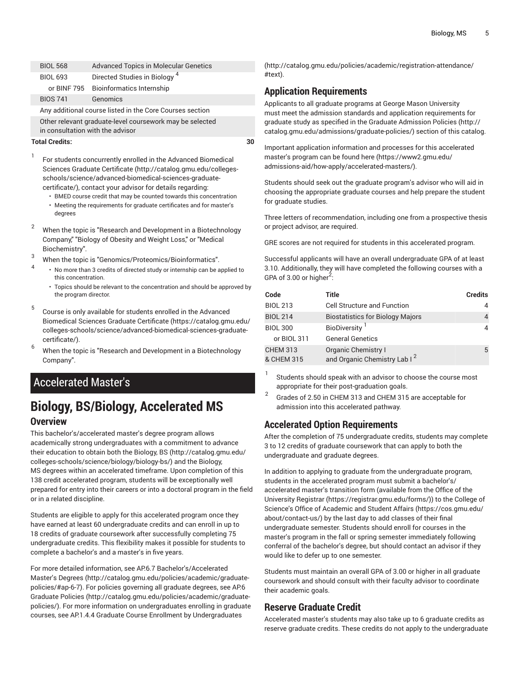| <b>BIOL 568</b>                                          | <b>Advanced Topics in Molecular Genetics</b> |  |
|----------------------------------------------------------|----------------------------------------------|--|
| <b>BIOL 693</b>                                          | Directed Studies in Biology <sup>4</sup>     |  |
|                                                          | or BINF 795 Bioinformatics Internship        |  |
| <b>BIOS 741</b>                                          | Genomics                                     |  |
| Any additional course listed in the Core Courses section |                                              |  |
| Other relevant graduate-level coursework may be selected |                                              |  |

in consultation with the advisor

### **Total Credits: 30**

1

For students concurrently enrolled in the Advanced [Biomedical](http://catalog.gmu.edu/colleges-schools/science/advanced-biomedical-sciences-graduate-certificate/) Sciences Graduate [Certificate \(http://catalog.gmu.edu/colleges](http://catalog.gmu.edu/colleges-schools/science/advanced-biomedical-sciences-graduate-certificate/)[schools/science/advanced-biomedical-sciences-graduate](http://catalog.gmu.edu/colleges-schools/science/advanced-biomedical-sciences-graduate-certificate/)[certificate/\)](http://catalog.gmu.edu/colleges-schools/science/advanced-biomedical-sciences-graduate-certificate/), contact your advisor for details regarding:

- BMED course credit that may be counted towards this concentration
- Meeting the requirements for graduate certificates and for master's degrees
- <sup>2</sup> When the topic is "Research and Development in a Biotechnology Company," "Biology of Obesity and Weight Loss," or "Medical Biochemistry".
- <sup>3</sup> When the topic is "Genomics/Proteomics/Bioinformatics". 4
	- No more than 3 credits of directed study or internship can be applied to this concentration.
		- Topics should be relevant to the concentration and should be approved by the program director.
- 5 Course is only available for students enrolled in the [Advanced](https://catalog.gmu.edu/colleges-schools/science/advanced-biomedical-sciences-graduate-certificate/) [Biomedical](https://catalog.gmu.edu/colleges-schools/science/advanced-biomedical-sciences-graduate-certificate/) Sciences Graduate Certificate [\(https://catalog.gmu.edu/](https://catalog.gmu.edu/colleges-schools/science/advanced-biomedical-sciences-graduate-certificate/) [colleges-schools/science/advanced-biomedical-sciences-graduate](https://catalog.gmu.edu/colleges-schools/science/advanced-biomedical-sciences-graduate-certificate/)[certificate/\)](https://catalog.gmu.edu/colleges-schools/science/advanced-biomedical-sciences-graduate-certificate/).
- <sup>6</sup> When the topic is "Research and Development in <sup>a</sup> Biotechnology Company".

# Accelerated Master's

# **Biology, BS/Biology, Accelerated MS Overview**

This bachelor's/accelerated master's degree program allows academically strong undergraduates with a commitment to advance their education to obtain both the [Biology,](http://catalog.gmu.edu/colleges-schools/science/biology/biology-bs/) BS [\(http://catalog.gmu.edu/](http://catalog.gmu.edu/colleges-schools/science/biology/biology-bs/) [colleges-schools/science/biology/biology-bs/\)](http://catalog.gmu.edu/colleges-schools/science/biology/biology-bs/) and the [Biology,](#page-0-1) [MS](#page-0-1) degrees within an accelerated timeframe. Upon completion of this 138 credit accelerated program, students will be exceptionally well prepared for entry into their careers or into a doctoral program in the field or in a related discipline.

Students are eligible to apply for this accelerated program once they have earned at least 60 undergraduate credits and can enroll in up to 18 credits of graduate coursework after successfully completing 75 undergraduate credits. This flexibility makes it possible for students to complete a bachelor's and a master's in five years.

For more detailed information, see AP.6.7 [Bachelor's/Accelerated](http://catalog.gmu.edu/policies/academic/graduate-policies/#ap-6-7) [Master's](http://catalog.gmu.edu/policies/academic/graduate-policies/#ap-6-7) Degrees ([http://catalog.gmu.edu/policies/academic/graduate](http://catalog.gmu.edu/policies/academic/graduate-policies/#ap-6-7)[policies/#ap-6-7](http://catalog.gmu.edu/policies/academic/graduate-policies/#ap-6-7)). For policies governing all graduate degrees, see [AP.6](http://catalog.gmu.edu/policies/academic/graduate-policies/) [Graduate](http://catalog.gmu.edu/policies/academic/graduate-policies/) Policies ([http://catalog.gmu.edu/policies/academic/graduate](http://catalog.gmu.edu/policies/academic/graduate-policies/)[policies/](http://catalog.gmu.edu/policies/academic/graduate-policies/)). For more information on undergraduates enrolling in graduate courses, see AP.1.4.4 Graduate Course Enrollment by [Undergraduates](http://catalog.gmu.edu/policies/academic/registration-attendance/#text)

[\(http://catalog.gmu.edu/policies/academic/registration-attendance/](http://catalog.gmu.edu/policies/academic/registration-attendance/#text) [#text](http://catalog.gmu.edu/policies/academic/registration-attendance/#text)).

# **Application Requirements**

Applicants to all graduate programs at George Mason University must meet the admission standards and application requirements for graduate study as specified in the Graduate [Admission](http://catalog.gmu.edu/admissions/graduate-policies/) Policies ([http://](http://catalog.gmu.edu/admissions/graduate-policies/) [catalog.gmu.edu/admissions/graduate-policies/\)](http://catalog.gmu.edu/admissions/graduate-policies/) section of this catalog.

Important application information and processes for this accelerated master's program can be found [here](https://www2.gmu.edu/admissions-aid/how-apply/accelerated-masters/) ([https://www2.gmu.edu/](https://www2.gmu.edu/admissions-aid/how-apply/accelerated-masters/) [admissions-aid/how-apply/accelerated-masters/](https://www2.gmu.edu/admissions-aid/how-apply/accelerated-masters/)).

Students should seek out the graduate program's advisor who will aid in choosing the appropriate graduate courses and help prepare the student for graduate studies.

Three letters of recommendation, including one from a prospective thesis or project advisor, are required.

GRE scores are not required for students in this accelerated program.

Successful applicants will have an overall undergraduate GPA of at least 3.10. Additionally, they will have completed the following courses with a GPA of 3.00 or higher<sup>2</sup>:

| Code                          | Title                                                                  | <b>Credits</b> |
|-------------------------------|------------------------------------------------------------------------|----------------|
| <b>BIOL 213</b>               | <b>Cell Structure and Function</b>                                     |                |
| <b>BIOL 214</b>               | <b>Biostatistics for Biology Majors</b>                                | 4              |
| <b>BIOL 300</b>               | BioDiversity <sup>1</sup>                                              | 4              |
| or BIOL 311                   | <b>General Genetics</b>                                                |                |
| <b>CHEM 313</b><br>& CHEM 315 | <b>Organic Chemistry I</b><br>and Organic Chemistry Lab I <sup>2</sup> | 5              |

1 Students should speak with an advisor to choose the course most appropriate for their post-graduation goals.

2 Grades of 2.50 in CHEM 313 and CHEM 315 are acceptable for admission into this accelerated pathway.

## **Accelerated Option Requirements**

After the completion of 75 undergraduate credits, students may complete 3 to 12 credits of graduate coursework that can apply to both the undergraduate and graduate degrees.

In addition to applying to graduate from the undergraduate program, students in the accelerated program must submit a bachelor's/ accelerated master's transition form (available from the [Office of the](https://registrar.gmu.edu/forms/) [University](https://registrar.gmu.edu/forms/) Registrar (<https://registrar.gmu.edu/forms/>)) to the [College of](https://cos.gmu.edu/about/contact-us/) Science's Office of [Academic](https://cos.gmu.edu/about/contact-us/) and Student Affairs [\(https://cos.gmu.edu/](https://cos.gmu.edu/about/contact-us/) [about/contact-us/](https://cos.gmu.edu/about/contact-us/)) by the last day to add classes of their final undergraduate semester. Students should enroll for courses in the master's program in the fall or spring semester immediately following conferral of the bachelor's degree, but should contact an advisor if they would like to defer up to one semester.

Students must maintain an overall GPA of 3.00 or higher in all graduate coursework and should consult with their faculty advisor to coordinate their academic goals.

## **Reserve Graduate Credit**

Accelerated master's students may also take up to 6 graduate credits as reserve graduate credits. These credits do not apply to the undergraduate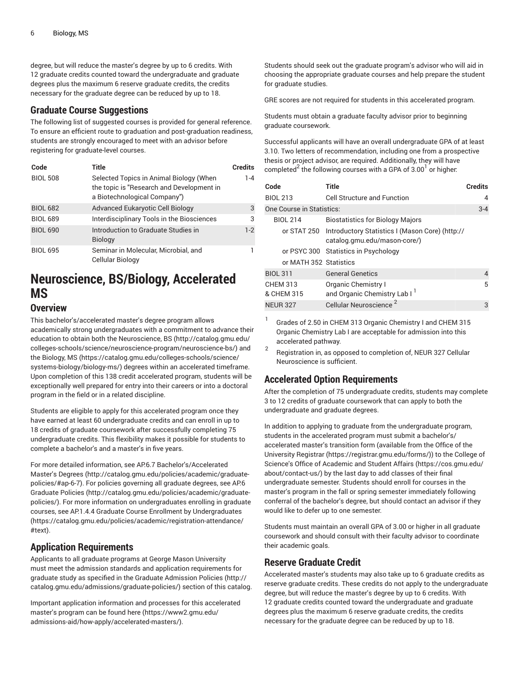degree, but will reduce the master's degree by up to 6 credits. With 12 graduate credits counted toward the undergraduate and graduate degrees plus the maximum 6 reserve graduate credits, the credits necessary for the graduate degree can be reduced by up to 18.

### **Graduate Course Suggestions**

The following list of suggested courses is provided for general reference. To ensure an efficient route to graduation and post-graduation readiness, students are strongly encouraged to meet with an advisor before registering for graduate-level courses.

| Code            | Title                                                                                                                | <b>Credits</b> |
|-----------------|----------------------------------------------------------------------------------------------------------------------|----------------|
| <b>BIOL 508</b> | Selected Topics in Animal Biology (When<br>the topic is "Research and Development in<br>a Biotechnological Company") | $1 - 4$        |
| <b>BIOL 682</b> | Advanced Eukaryotic Cell Biology                                                                                     | 3              |
| <b>BIOL 689</b> | Interdisciplinary Tools in the Biosciences                                                                           | 3              |
| <b>BIOL 690</b> | Introduction to Graduate Studies in<br><b>Biology</b>                                                                | $1-2$          |
| <b>BIOL 695</b> | Seminar in Molecular, Microbial, and<br>Cellular Biology                                                             |                |

# **Neuroscience, BS/Biology, Accelerated MS**

## **Overview**

This bachelor's/accelerated master's degree program allows

academically strong undergraduates with a commitment to advance their education to obtain both the [Neuroscience,](http://catalog.gmu.edu/colleges-schools/science/neuroscience-program/neuroscience-bs/) BS [\(http://catalog.gmu.edu/](http://catalog.gmu.edu/colleges-schools/science/neuroscience-program/neuroscience-bs/) [colleges-schools/science/neuroscience-program/neuroscience-bs/](http://catalog.gmu.edu/colleges-schools/science/neuroscience-program/neuroscience-bs/)) and the [Biology,](https://catalog.gmu.edu/colleges-schools/science/systems-biology/biology-ms/) MS ([https://catalog.gmu.edu/colleges-schools/science/](https://catalog.gmu.edu/colleges-schools/science/systems-biology/biology-ms/) [systems-biology/biology-ms/](https://catalog.gmu.edu/colleges-schools/science/systems-biology/biology-ms/)) degrees within an accelerated timeframe. Upon completion of this 138 credit accelerated program, students will be exceptionally well prepared for entry into their careers or into a doctoral program in the field or in a related discipline.

Students are eligible to apply for this accelerated program once they have earned at least 60 undergraduate credits and can enroll in up to 18 credits of graduate coursework after successfully completing 75 undergraduate credits. This flexibility makes it possible for students to complete a bachelor's and a master's in five years.

For more detailed information, see AP.6.7 [Bachelor's/Accelerated](http://catalog.gmu.edu/policies/academic/graduate-policies/#ap-6-7) [Master's](http://catalog.gmu.edu/policies/academic/graduate-policies/#ap-6-7) Degrees ([http://catalog.gmu.edu/policies/academic/graduate](http://catalog.gmu.edu/policies/academic/graduate-policies/#ap-6-7)[policies/#ap-6-7](http://catalog.gmu.edu/policies/academic/graduate-policies/#ap-6-7)). For policies governing all graduate degrees, see [AP.6](http://catalog.gmu.edu/policies/academic/graduate-policies/) [Graduate](http://catalog.gmu.edu/policies/academic/graduate-policies/) Policies ([http://catalog.gmu.edu/policies/academic/graduate](http://catalog.gmu.edu/policies/academic/graduate-policies/)[policies/](http://catalog.gmu.edu/policies/academic/graduate-policies/)). For more information on undergraduates enrolling in graduate courses, see AP.1.4.4 Graduate Course Enrollment by [Undergraduates](https://catalog.gmu.edu/policies/academic/registration-attendance/#text) ([https://catalog.gmu.edu/policies/academic/registration-attendance/](https://catalog.gmu.edu/policies/academic/registration-attendance/#text) [#text\)](https://catalog.gmu.edu/policies/academic/registration-attendance/#text).

## **Application Requirements**

Applicants to all graduate programs at George Mason University must meet the admission standards and application requirements for graduate study as specified in the Graduate [Admission](http://catalog.gmu.edu/admissions/graduate-policies/) Policies [\(http://](http://catalog.gmu.edu/admissions/graduate-policies/) [catalog.gmu.edu/admissions/graduate-policies/](http://catalog.gmu.edu/admissions/graduate-policies/)) section of this catalog.

Important application information and processes for this accelerated master's program can be found [here \(https://www2.gmu.edu/](https://www2.gmu.edu/admissions-aid/how-apply/accelerated-masters/) [admissions-aid/how-apply/accelerated-masters/](https://www2.gmu.edu/admissions-aid/how-apply/accelerated-masters/)).

Students should seek out the graduate program's advisor who will aid in choosing the appropriate graduate courses and help prepare the student for graduate studies.

GRE scores are not required for students in this accelerated program.

Students must obtain a graduate faculty advisor prior to beginning graduate coursework.

Successful applicants will have an overall undergraduate GPA of at least 3.10. Two letters of recommendation, including one from a prospective thesis or project advisor, are required. Additionally, they will have completed $^2$  the following courses with a GPA of 3.00 $^{\rm l}$  or higher:

| Code                          | Title                                                                           | <b>Credits</b> |
|-------------------------------|---------------------------------------------------------------------------------|----------------|
| <b>BIOL 213</b>               | <b>Cell Structure and Function</b>                                              | 4              |
| One Course in Statistics:     |                                                                                 |                |
| <b>BIOL 214</b>               | <b>Biostatistics for Biology Majors</b>                                         |                |
| or STAT 250                   | Introductory Statistics I (Mason Core) (http://<br>catalog.gmu.edu/mason-core/) |                |
|                               | or PSYC 300 Statistics in Psychology                                            |                |
| or MATH 352 Statistics        |                                                                                 |                |
| <b>BIOL 311</b>               | <b>General Genetics</b>                                                         | 4              |
| <b>CHEM 313</b><br>& CHEM 315 | <b>Organic Chemistry I</b><br>and Organic Chemistry Lab I <sup>1</sup>          | 5              |
| <b>NEUR 327</b>               | Cellular Neuroscience                                                           | 3              |

1 Grades of 2.50 in CHEM 313 Organic Chemistry I and CHEM 315 Organic Chemistry Lab I are acceptable for admission into this accelerated pathway.

2 Registration in, as opposed to completion of, NEUR 327 Cellular Neuroscience is sufficient.

# **Accelerated Option Requirements**

After the completion of 75 undergraduate credits, students may complete 3 to 12 credits of graduate coursework that can apply to both the undergraduate and graduate degrees.

In addition to applying to graduate from the undergraduate program, students in the accelerated program must submit a bachelor's/ accelerated master's transition form (available from the [Office of the](https://registrar.gmu.edu/forms/) [University](https://registrar.gmu.edu/forms/) Registrar (<https://registrar.gmu.edu/forms/>)) to the [College of](https://cos.gmu.edu/about/contact-us/) Science's Office of [Academic](https://cos.gmu.edu/about/contact-us/) and Student Affairs [\(https://cos.gmu.edu/](https://cos.gmu.edu/about/contact-us/) [about/contact-us/](https://cos.gmu.edu/about/contact-us/)) by the last day to add classes of their final undergraduate semester. Students should enroll for courses in the master's program in the fall or spring semester immediately following conferral of the bachelor's degree, but should contact an advisor if they would like to defer up to one semester.

Students must maintain an overall GPA of 3.00 or higher in all graduate coursework and should consult with their faculty advisor to coordinate their academic goals.

# **Reserve Graduate Credit**

Accelerated master's students may also take up to 6 graduate credits as reserve graduate credits. These credits do not apply to the undergraduate degree, but will reduce the master's degree by up to 6 credits. With 12 graduate credits counted toward the undergraduate and graduate degrees plus the maximum 6 reserve graduate credits, the credits necessary for the graduate degree can be reduced by up to 18.